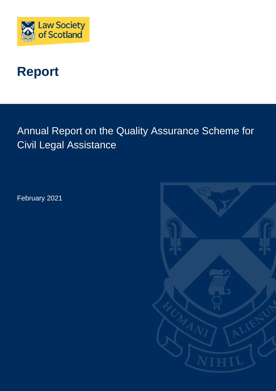

# **Report**

Annual Report on the Quality Assurance Scheme for Civil Legal Assistance

February 2021

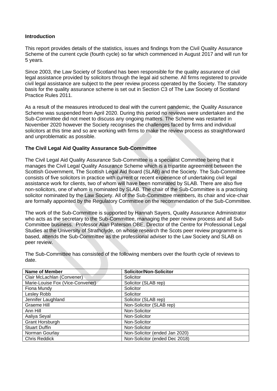## **Introduction**

This report provides details of the statistics, issues and findings from the Civil Quality Assurance Scheme of the current cycle (fourth cycle) so far which commenced in August 2017 and will run for 5 years.

Since 2003, the Law Society of Scotland has been responsible for the quality assurance of civil legal assistance provided by solicitors through the legal aid scheme. All firms registered to provide civil legal assistance are subject to the peer review process operated by the Society. The statutory basis for the quality assurance scheme is set out in Section C3 of The Law Society of Scotland Practice Rules 2011.

As a result of the measures introduced to deal with the current pandemic, the Quality Assurance Scheme was suspended from April 2020. During this period no reviews were undertaken and the Sub-Committee did not meet to discuss any ongoing matters. The Scheme was restarted in November 2020 however the Society recognises the challenges faced by firms and individual solicitors at this time and so are working with firms to make the review process as straightforward and unproblematic as possible.

# **The Civil Legal Aid Quality Assurance Sub-Committee**

The Civil Legal Aid Quality Assurance Sub-Committee is a specialist Committee being that it manages the Civil Legal Quality Assurance Scheme which is a tripartite agreement between the Scottish Government, The Scottish Legal Aid Board (SLAB) and the Society. The Sub-Committee consists of five solicitors in practice with current or recent experience of undertaking civil legal assistance work for clients, two of whom will have been nominated by SLAB. There are also five non-solicitors, one of whom is nominated by SLAB. The chair of the Sub-Committee is a practising solicitor nominated by the Law Society. All of the Sub-Committee members, its chair and vice-chair are formally appointed by the Regulatory Committee on the recommendation of the Sub-Committee.

The work of the Sub-Committee is supported by Hannah Sayers, Quality Assurance Administrator who acts as the secretary to the Sub-Committee, managing the peer review process and all Sub-Committee business. Professor Alan Paterson OBE, Director of the Centre for Professional Legal Studies at the University of Strathclyde, on whose research the Scots peer review programme is based, attends the Sub-Committee as the professional adviser to the Law Society and SLAB on peer review.

| <b>Name of Member</b>            | <b>Solicitor/Non-Solicitor</b> |
|----------------------------------|--------------------------------|
|                                  |                                |
| Clair McLachlan (Convener)       | Solicitor                      |
| Marie-Louise Fox (Vice-Convener) | Solicitor (SLAB rep)           |
| Fiona Mundy                      | Solicitor                      |
| Lesley Robb                      | Solicitor                      |
| Jennifer Laughland               | Solicitor (SLAB rep)           |
| Graeme Hill                      | Non-Solicitor (SLAB rep)       |
| Ann Hill                         | Non-Solicitor                  |
| Aaliya Seyal                     | Non-Solicitor                  |
| Grant Horsburgh                  | Non-Solicitor                  |
| <b>Stuart Duffin</b>             | Non-Solicitor                  |
| Norman Gourlay                   | Non-Solicitor (ended Jan 2020) |
| <b>Chris Reddick</b>             | Non-Solicitor (ended Dec 2018) |

The Sub-Committee has consisted of the following members over the fourth cycle of reviews to date.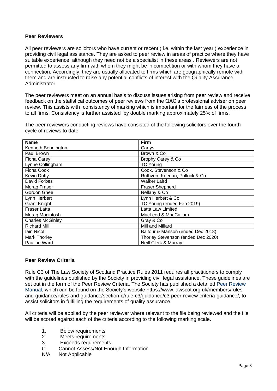## **Peer Reviewers**

All peer reviewers are solicitors who have current or recent ( i.e. within the last year ) experience in providing civil legal assistance. They are asked to peer review in areas of practice where they have suitable experience, although they need not be a specialist in these areas . Reviewers are not permitted to assess any firm with whom they might be in competition or with whom they have a connection. Accordingly, they are usually allocated to firms which are geographically remote with them and are instructed to raise any potential conflicts of interest with the Quality Assurance Administrator.

The peer reviewers meet on an annual basis to discuss issues arising from peer review and receive feedback on the statistical outcomes of peer reviews from the QAC's professional adviser on peer review. This assists with consistency of marking which is important for the fairness of the process to all firms. Consistency is further assisted by double marking approximately 25% of firms.

The peer reviewers conducting reviews have consisted of the following solicitors over the fourth cycle of reviews to date.

| <b>Name</b>             | Firm                               |  |
|-------------------------|------------------------------------|--|
| Kenneth Bonnington      | Cartys                             |  |
| Paul Brown              | Brown & Co.                        |  |
| <b>Fiona Carey</b>      | Brophy Carey & Co                  |  |
| Lynne Collingham        | <b>TC Young</b>                    |  |
| Fiona Cook              | Cook, Stevenson & Co               |  |
| Kevin Duffy             | Ruthven, Keenan, Pollock & Co      |  |
| David Forbes            | <b>Walker Laird</b>                |  |
| Morag Fraser            | <b>Fraser Shepherd</b>             |  |
| Gordon Ghee             | Nellany & Co                       |  |
| Lynn Herbert            | Lynn Herbert & Co                  |  |
| <b>Grant Knight</b>     | TC Young (ended Feb 2019)          |  |
| <b>Fraser Latta</b>     | Latta Law Limited                  |  |
| Morag Macintosh         | MacLeod & MacCallum                |  |
| <b>Charles McGinley</b> | Gray & Co                          |  |
| <b>Richard Mill</b>     | Mill and Millard                   |  |
| lain Nicol              | Balfour & Manson (ended Dec 2018)  |  |
| Mark Thorley            | Thorley Stevenson (ended Dec 2020) |  |
| Pauline Ward            | Neill Clerk & Murray               |  |

# **Peer Review Criteria**

Rule C3 of The Law Society of Scotland Practice Rules 2011 requires all practitioners to comply with the guidelines published by the Society in providing civil legal assistance. These guidelines are set out in the form of the Peer Review Criteria. The Society has published a detailed [Peer Review](https://www.lawscot.org.uk/members/rules-and-guidance/rules-and-guidance/section-c/rule-c3/advice-and-information/c3-quality-assurance-scheme/)  [Manual,](https://www.lawscot.org.uk/members/rules-and-guidance/rules-and-guidance/section-c/rule-c3/advice-and-information/c3-quality-assurance-scheme/) which can be found on the Society's website https://www.lawscot.org.uk/members/rulesand-guidance/rules-and-guidance/section-c/rule-c3/guidance/c3-peer-review-criteria-guidance/, to assist solicitors in fulfilling the requirements of quality assurance.

All criteria will be applied by the peer reviewer where relevant to the file being reviewed and the file will be scored against each of the criteria according to the following marking scale.

- 1. Below requirements
- 2. Meets requirements
- 3. Exceeds requirements
- C. Cannot Assess/Not Enough Information
- N/A Not Applicable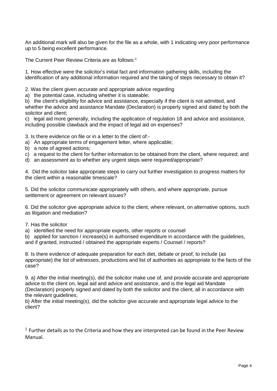An additional mark will also be given for the file as a whole, with 1 indicating very poor performance up to 5 being excellent performance.

The Current Peer Review Criteria are as follows:<sup>1</sup>

1. How effective were the solicitor's initial fact and information gathering skills, including the identification of any additional information required and the taking of steps necessary to obtain it?

2. Was the client given accurate and appropriate advice regarding

a) the potential case, including whether it is stateable;

b) the client's eligibility for advice and assistance, especially if the client is not admitted, and whether the advice and assistance Mandate (Declaration) is properly signed and dated by both the solicitor and client;

c) legal aid more generally, including the application of regulation 18 and advice and assistance, including possible clawback and the impact of legal aid on expenses?

3. Is there evidence on file or in a letter to the client of:-

- a) An appropriate terms of engagement letter, where applicable;
- b) a note of agreed actions;
- c) a request to the client for further information to be obtained from the client, where required; and
- d) an assessment as to whether any urgent steps were required/appropriate?

4. Did the solicitor take appropriate steps to carry out further investigation to progress matters for the client within a reasonable timescale?

5. Did the solicitor communicate appropriately with others, and where appropriate, pursue settlement or agreement on relevant issues?

6. Did the solicitor give appropriate advice to the client, where relevant, on alternative options, such as litigation and mediation?

7. Has the solicitor

a) identified the need for appropriate experts, other reports or counsel

b) applied for sanction / increase(s) in authorised expenditure in accordance with the guidelines, and if granted, instructed / obtained the appropriate experts / Counsel / reports?

8. Is there evidence of adequate preparation for each diet, debate or proof, to include (as appropriate) the list of witnesses, productions and list of authorities as appropriate to the facts of the case?

9. a) After the initial meeting(s), did the solicitor make use of, and provide accurate and appropriate advice to the client on, legal aid and advice and assistance, and is the legal aid Mandate (Declaration) properly signed and dated by both the solicitor and the client, all in accordance with the relevant guidelines;

b) After the initial meeting(s), did the solicitor give accurate and appropriate legal advice to the client?

 $1$  Further details as to the Criteria and how they are interpreted can be found in the Peer Review Manual.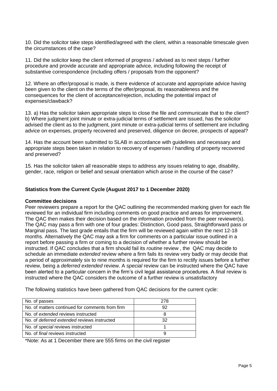10. Did the solicitor take steps identified/agreed with the client, within a reasonable timescale given the circumstances of the case?

11. Did the solicitor keep the client informed of progress / advised as to next steps / further procedure and provide accurate and appropriate advice, including following the receipt of substantive correspondence (including offers / proposals from the opponent?

12. Where an offer/proposal is made, is there evidence of accurate and appropriate advice having been given to the client on the terms of the offer/proposal, its reasonableness and the consequences for the client of acceptance/rejection, including the potential impact of expenses/clawback?

13. a) Has the solicitor taken appropriate steps to close the file and communicate that to the client? b) Where judgment joint minute or extra-judicial terms of settlement are issued, has the solicitor advised the client as to the judgment, joint minute or extra-judicial terms of settlement are including advice on expenses, property recovered and preserved, diligence on decree, prospects of appeal?

14. Has the account been submitted to SLAB in accordance with guidelines and necessary and appropriate steps been taken in relation to recovery of expenses / handling of property recovered and preserved?

15. Has the solicitor taken all reasonable steps to address any issues relating to age, disability, gender, race, religion or belief and sexual orientation which arose in the course of the case?

# **Statistics from the Current Cycle (August 2017 to 1 December 2020)**

#### **Committee decisions**

Peer reviewers prepare a report for the QAC outlining the recommended marking given for each file reviewed for an individual firm including comments on good practice and areas for improvement. The QAC then makes their decision based on the information provided from the peer reviewer(s). The QAC may pass a firm with one of four grades: Distinction, Good pass, Straightforward pass or Marginal pass. The last grade entails that the firm will be reviewed again within the next 12-18 months. Alternatively the QAC may ask a firm for comments on a particular issue outlined in a report before passing a firm or coming to a decision of whether a further review should be instructed. If QAC concludes that a firm should fail its *routine* review , the QAC may decide to schedule an immediate *extended* review where a firm fails its review very badly or may decide that a period of approximately six to nine months is required for the firm to rectify issues before a further review, being a *deferred extended* review. A *special* review can be instructed where the QAC have been alerted to a particular concern in the firm's civil legal assistance procedures. A *fina*l review is instructed where the QAC considers the outcome of a further review is unsatisfactory

The following statistics have been gathered from QAC decisions for the current cycle:

| No. of passes                                      | 278 |
|----------------------------------------------------|-----|
| No. of matters continued for comments from firm    | 92  |
| No. of extended reviews instructed                 |     |
| No. of <i>deferred extended</i> reviews instructed | 32  |
| No. of special reviews instructed                  |     |
| No. of <i>final</i> reviews instructed             |     |

\*Note: As at 1 December there are 555 firms on the civil register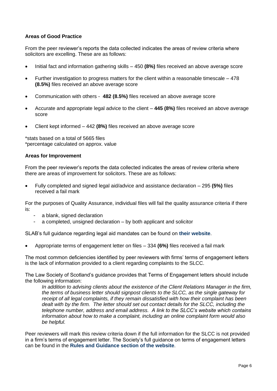# **Areas of Good Practice**

From the peer reviewer's reports the data collected indicates the areas of review criteria where solicitors are excelling. These are as follows:

- Initial fact and information gathering skills 450 **(8%)** files received an above average score
- Further investigation to progress matters for the client within a reasonable timescale 478 **(8.5%)** files received an above average score
- Communication with others **482 (8.5%)** files received an above average score
- Accurate and appropriate legal advice to the client **445 (8%)** files received an above average score
- Client kept informed 442 **(8%)** files received an above average score

\*stats based on a total of 5665 files \*percentage calculated on approx. value

## **Areas for Improvement**

From the peer reviewer's reports the data collected indicates the areas of review criteria where there are areas of improvement for solicitors. These are as follows:

• Fully completed and signed legal aid/advice and assistance declaration – 295 **(5%)** files received a fail mark

For the purposes of Quality Assurance, individual files will fail the quality assurance criteria if there is:

- a blank, signed declaration
- a completed, unsigned declaration by both applicant and solicitor

SLAB's full guidance regarding legal aid mandates can be found on **[their website](https://www.slab.org.uk/solicitors/forms-and-declarations/legal-aid-online-declarations/)**.

• Appropriate terms of engagement letter on files – 334 **(6%)** files received a fail mark

The most common deficiencies identified by peer reviewers with firms' terms of engagement letters is the lack of information provided to a client regarding complaints to the SLCC.

The Law Society of Scotland's guidance provides that Terms of Engagement letters should include the following information:

*In addition to advising clients about the existence of the Client Relations Manager in the firm, the terms of business letter should signpost clients to the SLCC, as the single gateway for receipt of all legal complaints, if they remain dissatisfied with how their complaint has been dealt with by the firm. The letter should set out contact details for the SLCC, including the telephone number, address and email address. A link to the SLCC's website which contains information about how to make a complaint, including an online complaint form would also be helpful.*

Peer reviewers will mark this review criteria down if the full information for the SLCC is not provided in a firm's terms of engagement letter. The Society's full guidance on terms of engagement letters can be found in the **[Rules and Guidance section of the website](https://www.lawscot.org.uk/members/rules-and-guidance/rules-and-guidance/section-b/rule-b4/guidance/b4-client-communication-generally/)**.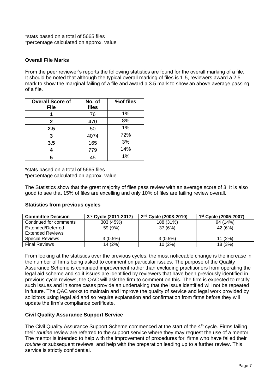\*stats based on a total of 5665 files \*percentage calculated on approx. value

# **Overall File Marks**

From the peer reviewer's reports the following statistics are found for the overall marking of a file. It should be noted that although the typical overall marking of files is 1-5, reviewers award a 2.5 mark to show the marginal failing of a file and award a 3.5 mark to show an above average passing of a file.

| <b>Overall Score of</b><br><b>File</b> | No. of<br>files | %of files |
|----------------------------------------|-----------------|-----------|
|                                        | 76              | 1%        |
| $\mathbf{2}$                           | 470             | 8%        |
| 2.5                                    | 50              | 1%        |
| 3                                      | 4074            | 72%       |
| 3.5                                    | 165             | 3%        |
|                                        | 779             | 14%       |
| 5                                      | 45              | 1%        |

\*stats based on a total of 5665 files

\*percentage calculated on approx. value

The Statistics show that the great majority of files pass review with an average score of 3. It is also good to see that 15% of files are excelling and only 10% of files are failing review overall.

# **Statistics from previous cycles**

| <b>Committee Decision</b> | 3rd Cycle (2011-2017) | 2 <sup>nd</sup> Cycle (2008-2010) | 1 <sup>st</sup> Cycle (2005-2007) |
|---------------------------|-----------------------|-----------------------------------|-----------------------------------|
| Continued for comments    | 303(45%)              | 188 (31%)                         | 94 (14%)                          |
| Extended/Deferred         | 59 (9%)               | 37 (6%)                           | 42 (6%)                           |
| Extended Reviews          |                       |                                   |                                   |
| <b>Special Reviews</b>    | $3(0.5\%)$            | $3(0.5\%)$                        | 11(2%)                            |
| <b>Final Reviews</b>      | 14 (2%)               | 10 (2%)                           | 18 (3%)                           |

From looking at the statistics over the previous cycles, the most noticeable change is the increase in the number of firms being asked to comment on particular issues. The purpose of the Quality Assurance Scheme is continued improvement rather than excluding practitioners from operating the legal aid scheme and so if issues are identified by reviewers that have been previously identified in previous cycle reviews, the QAC will ask the firm to comment on this. The firm is expected to rectify such issues and in some cases provide an undertaking that the issue identified will not be repeated in future. The QAC works to maintain and improve the quality of service and legal work provided by solicitors using legal aid and so require explanation and confirmation from firms before they will update the firm's compliance certificate.

# **Civil Quality Assurance Support Service**

The Civil Quality Assurance Support Scheme commenced at the start of the 4<sup>th</sup> cycle. Firms failing their *routine* review are referred to the support service where they may request the use of a mentor. The mentor is intended to help with the improvement of procedures for firms who have failed their *routine* or subsequent reviews and help with the preparation leading up to a further review. This service is strictly confidential.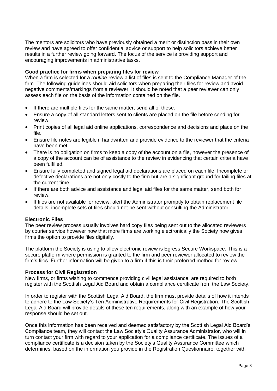The mentors are solicitors who have previously obtained a merit or distinction pass in their own review and have agreed to offer confidential advice or support to help solicitors achieve better results in a further review going forward. The focus of the service is providing support and encouraging improvements in administrative tasks.

## **Good practice for firms when preparing files for review**

When a firm is selected for a *routine* review a list of files is sent to the Compliance Manager of the firm. The following guidelines should aid solicitors when preparing their files for review and avoid negative comments/markings from a reviewer. It should be noted that a peer reviewer can only assess each file on the basis of the information contained on the file.

- If there are multiple files for the same matter, send all of these.
- Ensure a copy of all standard letters sent to clients are placed on the file before sending for review.
- Print copies of all legal aid online applications, correspondence and decisions and place on the file.
- Ensure file notes are legible if handwritten and provide evidence to the reviewer that the criteria have been met.
- There is no obligation on firms to keep a copy of the account on a file, however the presence of a copy of the account can be of assistance to the review in evidencing that certain criteria have been fulfilled.
- Ensure fully completed and signed legal aid declarations are placed on each file. Incomplete or defective declarations are not only costly to the firm but are a significant ground for failing files at the current time.
- If there are both advice and assistance and legal aid files for the same matter, send both for review.
- If files are not available for review, alert the Administrator promptly to obtain replacement file details, incomplete sets of files should not be sent without consulting the Administrator.

#### **Electronic Files**

The peer review process usually involves hard copy files being sent out to the allocated reviewers by courier service however now that more firms are working electronically the Society now gives firms the option to provide files digitally.

The platform the Society is using to allow electronic review is Egress Secure Workspace. This is a secure platform where permission is granted to the firm and peer reviewer allocated to review the firm's files. Further information will be given to a firm if this is their preferred method for review.

#### **Process for Civil Registration**

New firms, or firms wishing to commence providing civil legal assistance, are required to both register with the Scottish Legal Aid Board and obtain a compliance certificate from the Law Society.

In order to register with the Scottish Legal Aid Board, the firm must provide details of how it intends to adhere to the Law Society's Ten Administrative Requirements for Civil Registration. The Scottish Legal Aid Board will provide details of these ten requirements, along with an example of how your response should be set out.

Once this information has been received and deemed satisfactory by the Scottish Legal Aid Board's Compliance team, they will contact the Law Society's Quality Assurance Administrator, who will in turn contact your firm with regard to your application for a compliance certificate. The issues of a compliance certificate is a decision taken by the Society's Quality Assurance Committee which determines, based on the information you provide in the Registration Questionnaire, together with